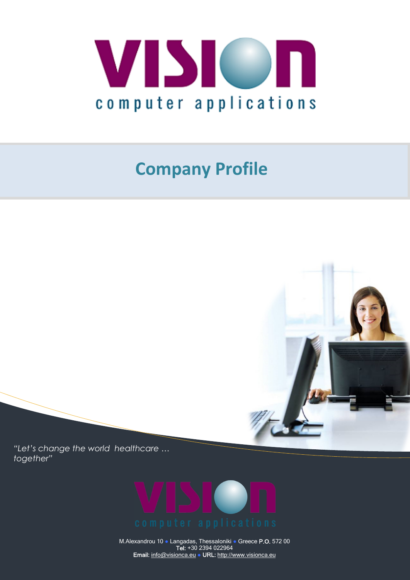

## **Company Profile**



*"Let's change the world healthcare … together"*



M.Alexandrou 10 ● Langadas, Thessaloniki ● Greece **P.O.** 572 00 **Tel:** +30 2394 022964 **Email:** info@visionca.eu ● **URL:** http://www.visionca.eu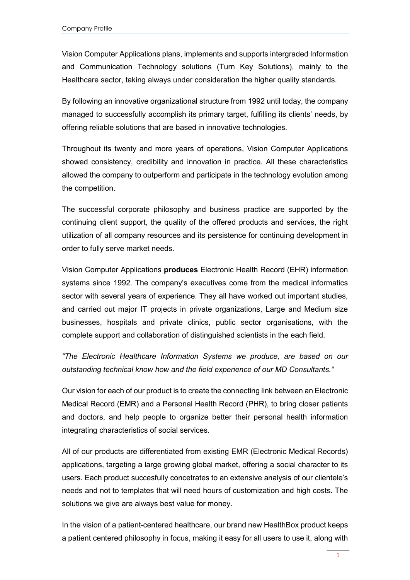Vision Computer Applications plans, implements and supports intergraded Information and Communication Technology solutions (Turn Key Solutions), mainly to the Healthcare sector, taking always under consideration the higher quality standards.

By following an innovative organizational structure from 1992 until today, the company managed to successfully accomplish its primary target, fulfilling its clients' needs, by offering reliable solutions that are based in innovative technologies.

Throughout its twenty and more years of operations, Vision Computer Applications showed consistency, credibility and innovation in practice. All these characteristics allowed the company to outperform and participate in the technology evolution among the competition.

The successful corporate philosophy and business practice are supported by the continuing client support, the quality of the offered products and services, the right utilization of all company resources and its persistence for continuing development in order to fully serve market needs.

Vision Computer Applications **produces** Electronic Health Record (EHR) information systems since 1992. The company's executives come from the medical informatics sector with several years of experience. They all have worked out important studies, and carried out major IT projects in private organizations, Large and Medium size businesses, hospitals and private clinics, public sector organisations, with the complete support and collaboration of distinguished scientists in the each field.

*"The Electronic Healthcare Information Systems we produce, are based on our outstanding technical know how and the field experience of our MD Consultants."*

Our vision for each of our product is to create the connecting link between an Electronic Medical Record (EMR) and a Personal Health Record (PHR), to bring closer patients and doctors, and help people to organize better their personal health information integrating characteristics of social services.

All of our products are differentiated from existing EMR (Electronic Medical Records) applications, targeting a large growing global market, offering a social character to its users. Each product succesfully concetrates to an extensive analysis of our clientele's needs and not to templates that will need hours of customization and high costs. The solutions we give are always best value for money.

In the vision of a patient-centered healthcare, our brand new HealthBox product keeps a patient centered philosophy in focus, making it easy for all users to use it, along with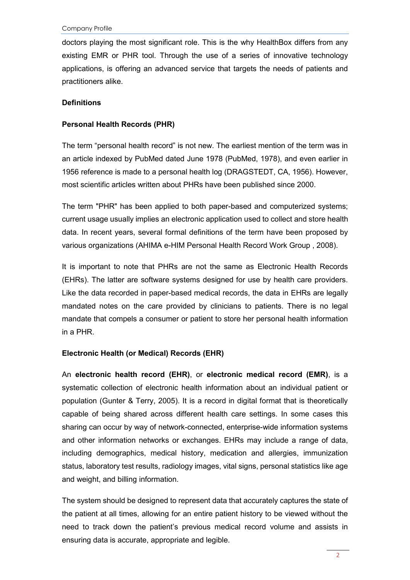doctors playing the most significant role. This is the why HealthBox differs from any existing EMR or PHR tool. Through the use of a series of innovative technology applications, is offering an advanced service that targets the needs of patients and practitioners alike.

## **Definitions**

## **Personal Health Records (PHR)**

The term "personal health record" is not new. The earliest mention of the term was in an article indexed by PubMed dated June 1978 (PubMed, 1978), and even earlier in 1956 reference is made to a personal health log (DRAGSTEDT, CA, 1956). However, most scientific articles written about PHRs have been published since 2000.

The term "PHR" has been applied to both paper-based and computerized systems; current usage usually implies an electronic application used to collect and store health data. In recent years, several formal definitions of the term have been proposed by various organizations (AHIMA e-HIM Personal Health Record Work Group , 2008).

It is important to note that PHRs are not the same as Electronic Health Records (EHRs). The latter are software systems designed for use by health care providers. Like the data recorded in paper-based medical records, the data in EHRs are legally mandated notes on the care provided by clinicians to patients. There is no legal mandate that compels a consumer or patient to store her personal health information in a PHR.

## **Electronic Health (or Medical) Records (EHR)**

An **electronic health record (EHR)**, or **electronic medical record (EMR)**, is a systematic collection of electronic health information about an individual patient or population (Gunter & Terry, 2005). It is a record in digital format that is theoretically capable of being shared across different health care settings. In some cases this sharing can occur by way of network-connected, enterprise-wide information systems and other information networks or exchanges. EHRs may include a range of data, including demographics, medical history, medication and allergies, immunization status, laboratory test results, radiology images, vital signs, personal statistics like age and weight, and billing information.

The system should be designed to represent data that accurately captures the state of the patient at all times, allowing for an entire patient history to be viewed without the need to track down the patient's previous medical record volume and assists in ensuring data is accurate, appropriate and legible.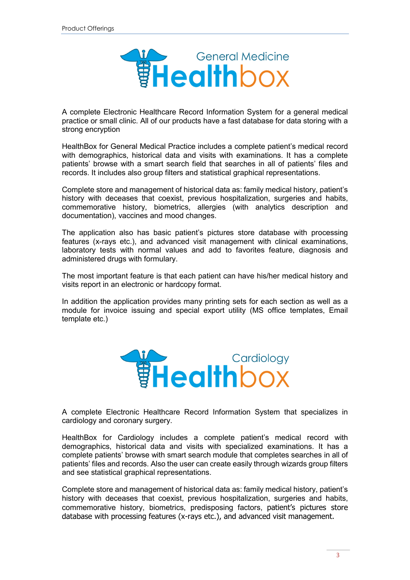

A complete Electronic Healthcare Record Information System for a general medical practice or small clinic. All of our products have a fast database for data storing with a strong encryption

HealthBox for General Medical Practice includes a complete patient's medical record with demographics, historical data and visits with examinations. It has a complete patients' browse with a smart search field that searches in all of patients' files and records. It includes also group filters and statistical graphical representations.

Complete store and management of historical data as: family medical history, patient's history with deceases that coexist, previous hospitalization, surgeries and habits, commemorative history, biometrics, allergies (with analytics description and documentation), vaccines and mood changes.

The application also has basic patient's pictures store database with processing features (x-rays etc.), and advanced visit management with clinical examinations, laboratory tests with normal values and add to favorites feature, diagnosis and administered drugs with formulary.

The most important feature is that each patient can have his/her medical history and visits report in an electronic or hardcopy format.

In addition the application provides many printing sets for each section as well as a module for invoice issuing and special export utility (MS office templates, Email template etc.)



A complete Electronic Healthcare Record Information System that specializes in cardiology and coronary surgery.

HealthBox for Cardiology includes a complete patient's medical record with demographics, historical data and visits with specialized examinations. It has a complete patients' browse with smart search module that completes searches in all of patients' files and records. Also the user can create easily through wizards group filters and see statistical graphical representations.

Complete store and management of historical data as: family medical history, patient's history with deceases that coexist, previous hospitalization, surgeries and habits, commemorative history, biometrics, predisposing factors, patient's pictures store database with processing features (x-rays etc.), and advanced visit management.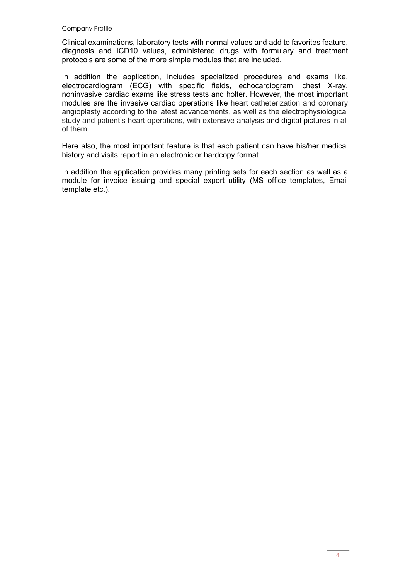Clinical examinations, laboratory tests with normal values and add to favorites feature, diagnosis and ICD10 values, administered drugs with formulary and treatment protocols are some of the more simple modules that are included.

In addition the application, includes specialized procedures and exams like, electrocardiogram (ECG) with specific fields, echocardiogram, chest X-ray, noninvasive cardiac exams like stress tests and holter. However, the most important modules are the invasive cardiac operations like heart catheterization and coronary angioplasty according to the latest advancements, as well as the electrophysiological study and patient's heart operations, with extensive analysis and digital pictures in all of them.

Here also, the most important feature is that each patient can have his/her medical history and visits report in an electronic or hardcopy format.

In addition the application provides many printing sets for each section as well as a module for invoice issuing and special export utility (MS office templates, Email template etc.).